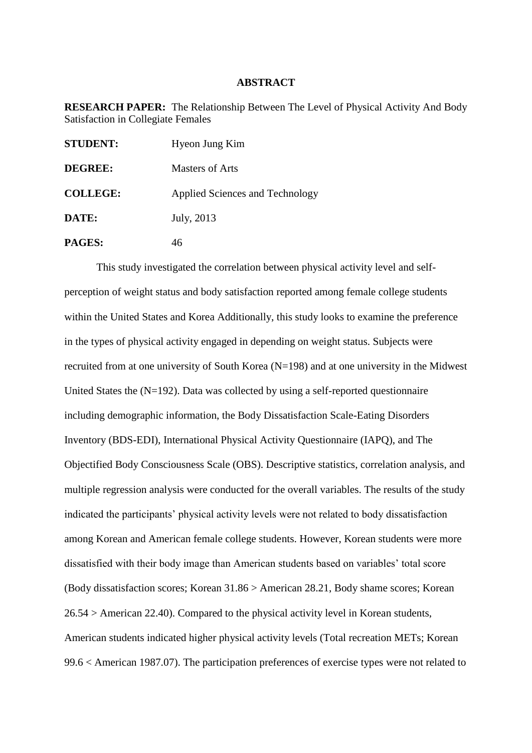## **ABSTRACT**

**RESEARCH PAPER:** The Relationship Between The Level of Physical Activity And Body Satisfaction in Collegiate Females

| <b>STUDENT:</b> | Hyeon Jung Kim                  |
|-----------------|---------------------------------|
| <b>DEGREE:</b>  | <b>Masters of Arts</b>          |
| <b>COLLEGE:</b> | Applied Sciences and Technology |
| DATE:           | July, 2013                      |
| PAGES:          | 46                              |

This study investigated the correlation between physical activity level and selfperception of weight status and body satisfaction reported among female college students within the United States and Korea Additionally, this study looks to examine the preference in the types of physical activity engaged in depending on weight status. Subjects were recruited from at one university of South Korea (N=198) and at one university in the Midwest United States the (N=192). Data was collected by using a self-reported questionnaire including demographic information, the Body Dissatisfaction Scale-Eating Disorders Inventory (BDS-EDI), International Physical Activity Questionnaire (IAPQ), and The Objectified Body Consciousness Scale (OBS). Descriptive statistics, correlation analysis, and multiple regression analysis were conducted for the overall variables. The results of the study indicated the participants' physical activity levels were not related to body dissatisfaction among Korean and American female college students. However, Korean students were more dissatisfied with their body image than American students based on variables' total score (Body dissatisfaction scores; Korean 31.86 > American 28.21, Body shame scores; Korean 26.54 > American 22.40). Compared to the physical activity level in Korean students, American students indicated higher physical activity levels (Total recreation METs; Korean 99.6 < American 1987.07). The participation preferences of exercise types were not related to